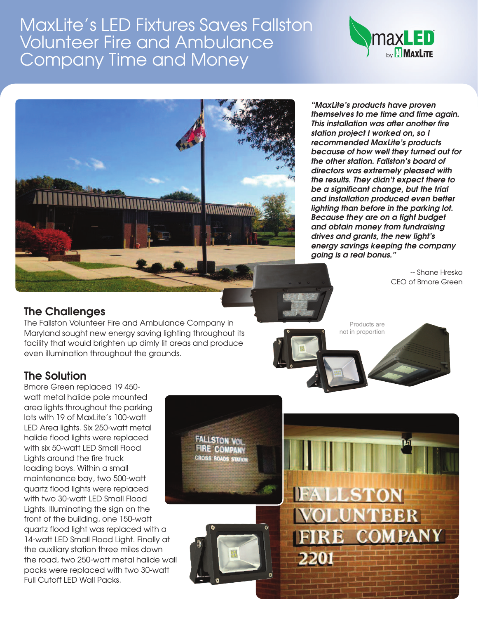# MaxLite's LED Fixtures Saves Fallston Volunteer Fire and Ambulance Company Time and Money





*"MaxLite's products have proven themselves to me time and time again. This installation was after another fire station project I worked on, so I recommended MaxLite's products because of how well they turned out for the other station. Fallston's board of directors was extremely pleased with the results. They didn't expect there to be a significant change, but the trial and installation produced even better lighting than before in the parking lot. Because they are on a tight budget and obtain money from fundraising drives and grants, the new light's energy savings keeping the company going is a real bonus."*

> -- Shane Hresko CEO of Bmore Green

## **The Challenges**

The Fallston Volunteer Fire and Ambulance Company in Maryland sought new energy saving lighting throughout its facility that would brighten up dimly lit areas and produce even illumination throughout the grounds.

> **FALLSTON VOI FIRE COMPANY** CROSS ROADS STATCH

Products are not in proportion

2201

## **The Solution**

Bmore Green replaced 19 450 watt metal halide pole mounted area lights throughout the parking lots with 19 of MaxLite's 100-watt LED Area lights. Six 250-watt metal halide flood lights were replaced with six 50-watt LED Small Flood Lights around the fire truck loading bays. Within a small maintenance bay, two 500-watt quartz flood lights were replaced with two 30-watt LED Small Flood Lights. Illuminating the sign on the front of the building, one 150-watt quartz flood light was replaced with a 14-watt LED Small Flood Light. Finally at the auxiliary station three miles down the road, two 250-watt metal halide wall packs were replaced with two 30-watt Full Cutoff LED Wall Packs.